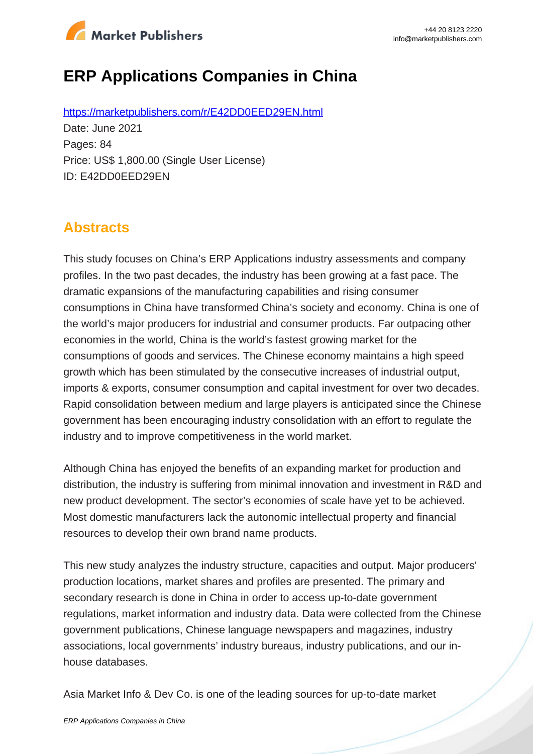

# **ERP Applications Companies in China**

https://marketpublishers.com/r/E42DD0EED29EN.html Date: June 2021 Pages: 84 Price: US\$ 1,800.00 (Single User License) ID: E42DD0EED29EN

## **Abstracts**

This study focuses on China's ERP Applications industry assessments and company profiles. In the two past decades, the industry has been growing at a fast pace. The dramatic expansions of the manufacturing capabilities and rising consumer consumptions in China have transformed China's society and economy. China is one of the world's major producers for industrial and consumer products. Far outpacing other economies in the world, China is the world's fastest growing market for the consumptions of goods and services. The Chinese economy maintains a high speed growth which has been stimulated by the consecutive increases of industrial output, imports & exports, consumer consumption and capital investment for over two decades. Rapid consolidation between medium and large players is anticipated since the Chinese government has been encouraging industry consolidation with an effort to regulate the industry and to improve competitiveness in the world market.

Although China has enjoyed the benefits of an expanding market for production and distribution, the industry is suffering from minimal innovation and investment in R&D and new product development. The sector's economies of scale have yet to be achieved. Most domestic manufacturers lack the autonomic intellectual property and financial resources to develop their own brand name products.

This new study analyzes the industry structure, capacities and output. Major producers' production locations, market shares and profiles are presented. The primary and secondary research is done in China in order to access up-to-date government regulations, market information and industry data. Data were collected from the Chinese government publications, Chinese language newspapers and magazines, industry associations, local governments' industry bureaus, industry publications, and our inhouse databases.

Asia Market Info & Dev Co. is one of the leading sources for up-to-date market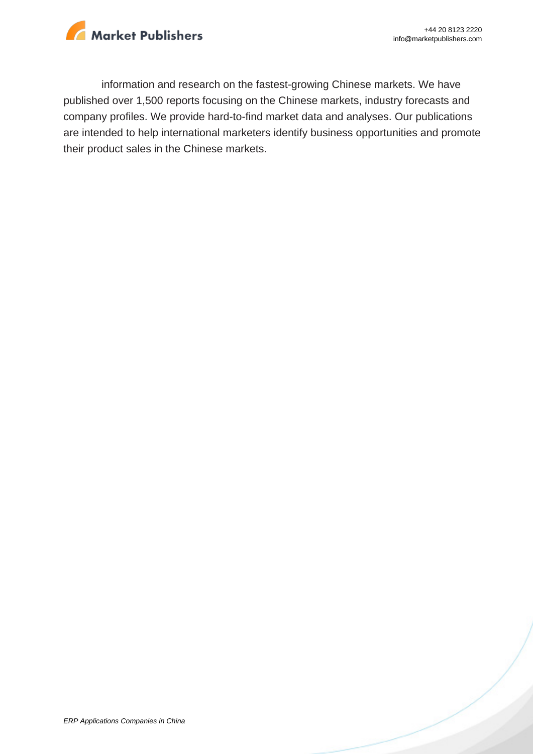

information and research on the fastest-growing Chinese markets. We have published over 1,500 reports focusing on the Chinese markets, industry forecasts and company profiles. We provide hard-to-find market data and analyses. Our publications are intended to help international marketers identify business opportunities and promote their product sales in the Chinese markets.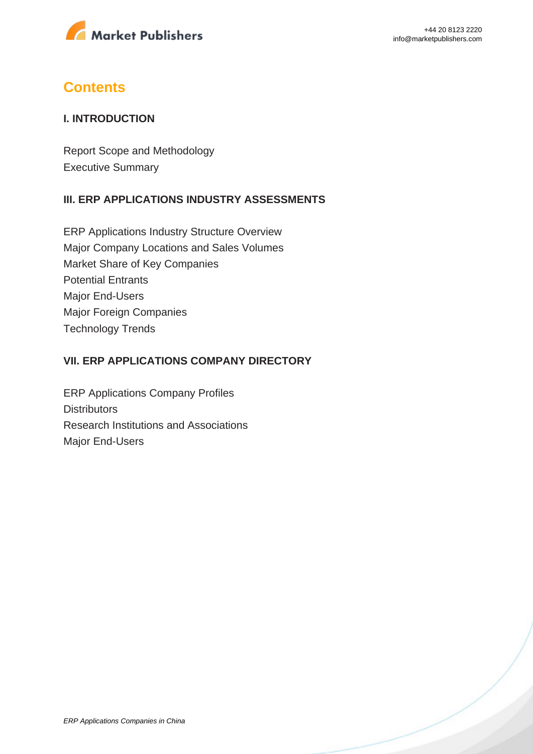

### **Contents**

#### **I. INTRODUCTION**

Report Scope and Methodology Executive Summary

### **III. ERP APPLICATIONS INDUSTRY ASSESSMENTS**

ERP Applications Industry Structure Overview Major Company Locations and Sales Volumes Market Share of Key Companies Potential Entrants Major End-Users Major Foreign Companies Technology Trends

#### **VII. ERP APPLICATIONS COMPANY DIRECTORY**

ERP Applications Company Profiles **Distributors** Research Institutions and Associations Major End-Users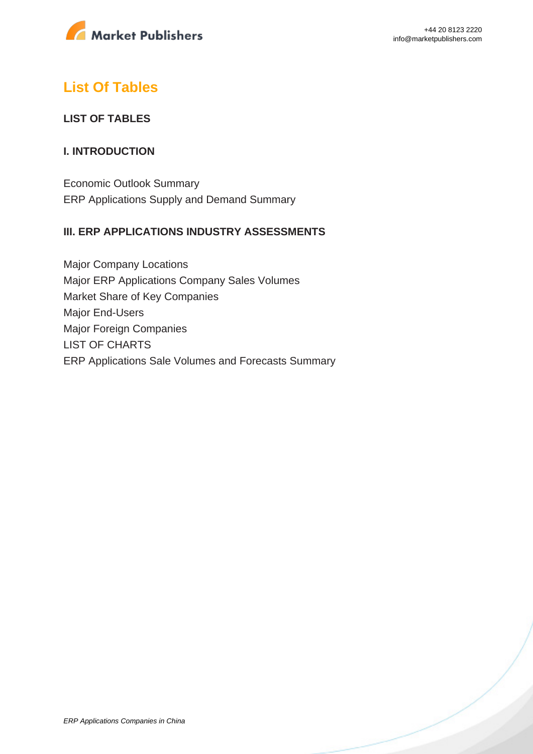

## **List Of Tables**

### **LIST OF TABLES**

### **I. INTRODUCTION**

Economic Outlook Summary ERP Applications Supply and Demand Summary

### **III. ERP APPLICATIONS INDUSTRY ASSESSMENTS**

Major Company Locations Major ERP Applications Company Sales Volumes Market Share of Key Companies Major End-Users Major Foreign Companies LIST OF CHARTS ERP Applications Sale Volumes and Forecasts Summary